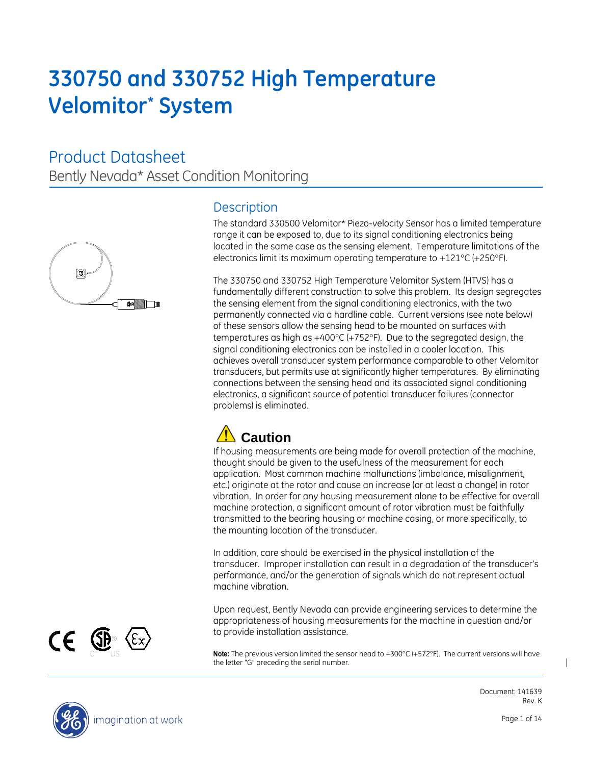# **330750 and 330752 High Temperature Velomitor\* System**

Product Datasheet Bently Nevada\* Asset Condition Monitoring



### **Description**

The standard 330500 Velomitor\* Piezo-velocity Sensor has a limited temperature range it can be exposed to, due to its signal conditioning electronics being located in the same case as the sensing element. Temperature limitations of the electronics limit its maximum operating temperature to  $+121^{\circ}C$  (+250 $^{\circ}F$ ).

The 330750 and 330752 High Temperature Velomitor System (HTVS) has a fundamentally different construction to solve this problem. Its design segregates the sensing element from the signal conditioning electronics, with the two permanently connected via a hardline cable. Current versions (see note below) of these sensors allow the sensing head to be mounted on surfaces with temperatures as high as  $+400^{\circ}C$  (+752 $^{\circ}F$ ). Due to the segregated design, the signal conditioning electronics can be installed in a cooler location. This achieves overall transducer system performance comparable to other Velomitor transducers, but permits use at significantly higher temperatures. By eliminating connections between the sensing head and its associated signal conditioning electronics, a significant source of potential transducer failures (connector problems) is eliminated.

## **Caution**

If housing measurements are being made for overall protection of the machine, thought should be given to the usefulness of the measurement for each application. Most common machine malfunctions (imbalance, misalignment, etc.) originate at the rotor and cause an increase (or at least a change) in rotor vibration. In order for any housing measurement alone to be effective for overall machine protection, a significant amount of rotor vibration must be faithfully transmitted to the bearing housing or machine casing, or more specifically, to the mounting location of the transducer.

In addition, care should be exercised in the physical installation of the transducer. Improper installation can result in a degradation of the transducer's performance, and/or the generation of signals which do not represent actual machine vibration.

Upon request, Bently Nevada can provide engineering services to determine the appropriateness of housing measurements for the machine in question and/or to provide installation assistance.

Note: The previous version limited the sensor head to +300°C (+572°F). The current versions will have the letter "G" preceding the serial number.



CE @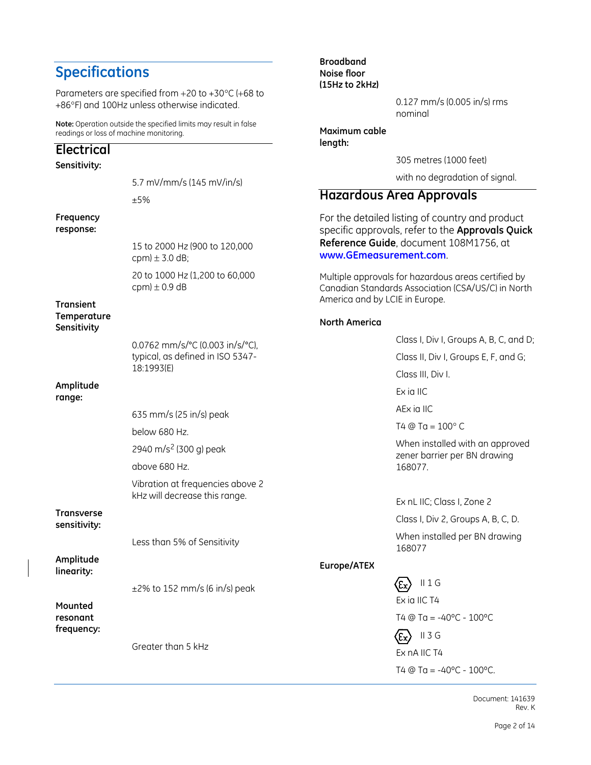### **Specifications**

Parameters are specified from  $+20$  to  $+30^{\circ}$ C (+68 to +86°F) and 100Hz unless otherwise indicated.

**Note:** Operation outside the specified limits may result in false readings or loss of machine monitoring.

#### **Electrical Sensitivity:** 5.7 mV/mm/s (145 mV/in/s) ±5% **Frequency response:** 15 to 2000 Hz (900 to 120,000 cpm)  $\pm$  3.0 dB; 20 to 1000 Hz (1,200 to 60,000 cpm)  $\pm$  0.9 dB **Transient Temperature Sensitivity**  $0.0762$  mm/s/ $^{\circ}$ typical, as defir 18:1993(E) **Amplitude range:** 635 mm/s (25) below 680 Hz. 2940 m/s<sup>2</sup> (300 above 680 Hz. Vibration at freq kHz will decrea **Transverse sensitivity:** Less than 5% of **Amplitude linearity:**  $±2\%$  to 152 mr **Mounted resonant frequency:** Greater than 5

**Broadband Noise floor (15Hz to 2kHz)**

> 0.127 mm/s (0.005 in/s) rms nominal

**Maximum cable length:**

305 metres (1000 feet)

with no degradation of signal.

#### **Hazardous Area Approvals**

For the detailed listing of country and product specific approvals, refer to the **Approvals Quick Reference Guide**, document 108M1756, at **[www.GEmeasurement.com](http://www.gemeasurement.com/)**.

Multiple approvals for hazardous areas certified by Canadian Standards Association (CSA/US/C) in North America and by LCIE in Europe.

#### **North America**

| °C (0.003 in/s/°C), |             | Class I, Div I, Groups A, B, C, and D;                                     |
|---------------------|-------------|----------------------------------------------------------------------------|
| ned in ISO 5347-    |             | Class II, Div I, Groups E, F, and G;                                       |
|                     |             | Class III, Div I.                                                          |
|                     |             | Ex ia IIC                                                                  |
| in/s) peak          |             | AEx ia IIC                                                                 |
|                     |             | $T4 @ Ta = 100^{\circ} C$                                                  |
| ) g) peak           |             | When installed with an approved<br>zener barrier per BN drawing<br>168077. |
| equencies above 2   |             |                                                                            |
| ise this range.     |             | Ex nL IIC; Class I, Zone 2                                                 |
|                     |             | Class I, Div 2, Groups A, B, C, D.                                         |
| of Sensitivity      |             | When installed per BN drawing<br>168077                                    |
|                     | Europe/ATEX |                                                                            |
| n/s (6 in/s) peak   |             | $II$ 1 G<br>.Έχ                                                            |
|                     |             | Ex ia IIC T4                                                               |
|                     |             | T4 @ Ta = -40°C - $100$ °C                                                 |
|                     |             | $II$ 3 G                                                                   |
| kHz                 |             | Ex nA IIC T4                                                               |
|                     |             | T4 @ Ta = $-40^{\circ}$ C - 100 $^{\circ}$ C.                              |
|                     |             |                                                                            |

Document: 141639 Rev. K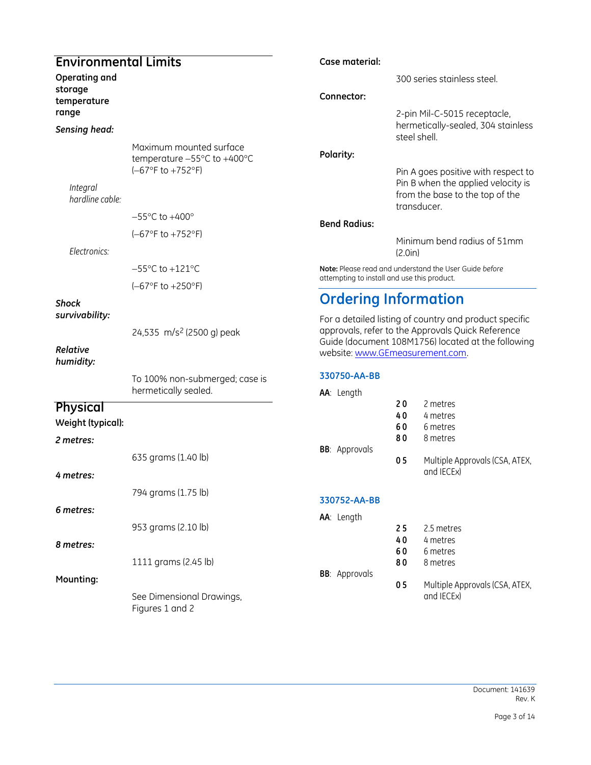#### **Environmental Limits**

**Operating and storage temperature range**

#### *Sensing head:*

Maximum mounted surface temperature  $-55^{\circ}$ C to  $+400^{\circ}$ C  $(-67°F to +752°F)$ 

*Integral hardline cable:*

 $-55^{\circ}$ C to  $+400^{\circ}$ 

 $(-67°F to +752°F)$ 

#### *Electronics:*

 $-55^{\circ}$ C to  $+121^{\circ}$ C

 $(-67°F to +250°F)$ 

#### *Shock survivability:*

24,535 m/s<sup>2</sup> (2500 g) peak

#### *Relative humidity:*

To 100% non-submerged; case is hermetically sealed.

#### **Physical**

**Weight (typical):**

#### *2 metres:*

635 grams (1.40 lb)

#### *4 metres:*

794 grams (1.75 lb)

#### *6 metres:*

953 grams (2.10 lb)

#### *8 metres:*

1111 grams (2.45 lb)

#### **Mounting:**

See Dimensional Drawings, Figures 1 and 2

#### **Case material:**

300 series stainless steel.

#### **Connector:**

2-pin Mil-C-5015 receptacle, hermetically-sealed, 304 stainless steel shell.

#### **Polarity:**

Pin A goes positive with respect to Pin B when the applied velocity is from the base to the top of the transducer.

#### **Bend Radius:**

Minimum bend radius of 51mm (2.0in)

**Note:** Please read and understand the User Guide *before* attempting to install and use this product.

### **Ordering Information**

For a detailed listing of country and product specific approvals, refer to the Approvals Quick Reference Guide (document 108M1756) located at the following website: [www.GEmeasurement.com.](http://www.gemeasurement.com/)

#### **330750-AA-BB**

| <b>AA</b> : Length   |    |                                              |
|----------------------|----|----------------------------------------------|
|                      | 20 | 2 metres                                     |
|                      | 40 | 4 metres                                     |
|                      | 60 | 6 metres                                     |
|                      | 80 | 8 metres                                     |
| <b>BB:</b> Approvals |    |                                              |
|                      | 05 | Multiple Approvals (CSA, ATEX,<br>and IECEx) |
|                      |    |                                              |

#### **330752-AA-BB**

| AA: Length           |    |                |
|----------------------|----|----------------|
|                      | 25 | 2.5 metres     |
|                      | 40 | 4 metres       |
|                      | 60 | 6 metres       |
|                      | 80 | 8 metres       |
| <b>BB:</b> Approvals |    |                |
|                      | 05 | Multiple Appro |

vals (CSA, ATEX, and IECEx)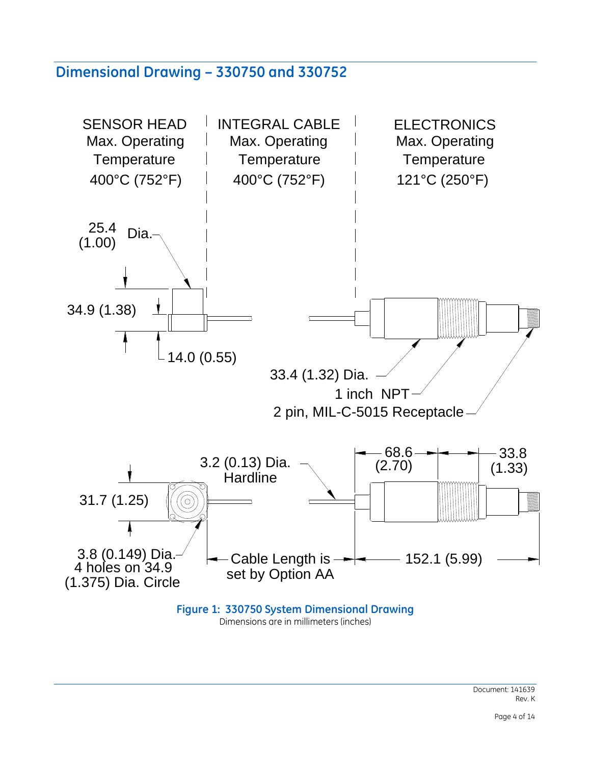### **Dimensional Drawing – 330750 and 330752**



Dimensions are in millimeters (inches)

Document: 141639 Rev. K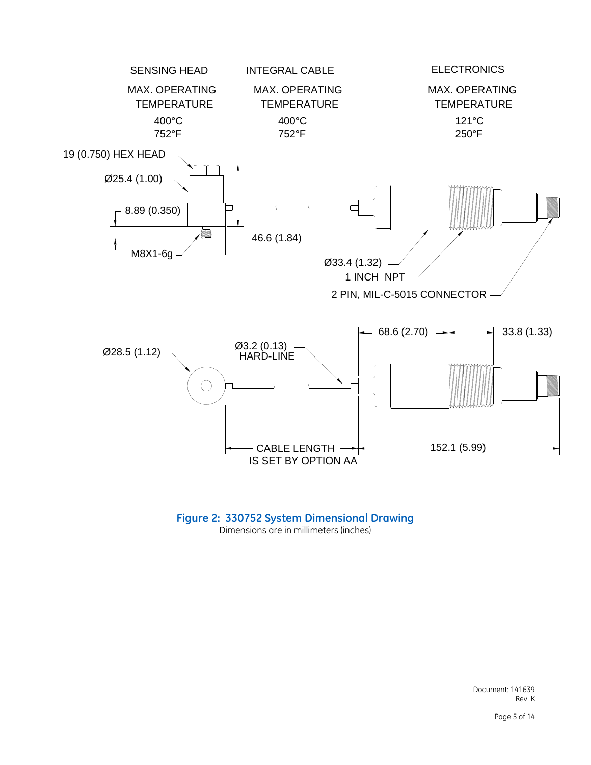

#### **Figure 2: 330752 System Dimensional Drawing** Dimensions are in millimeters (inches)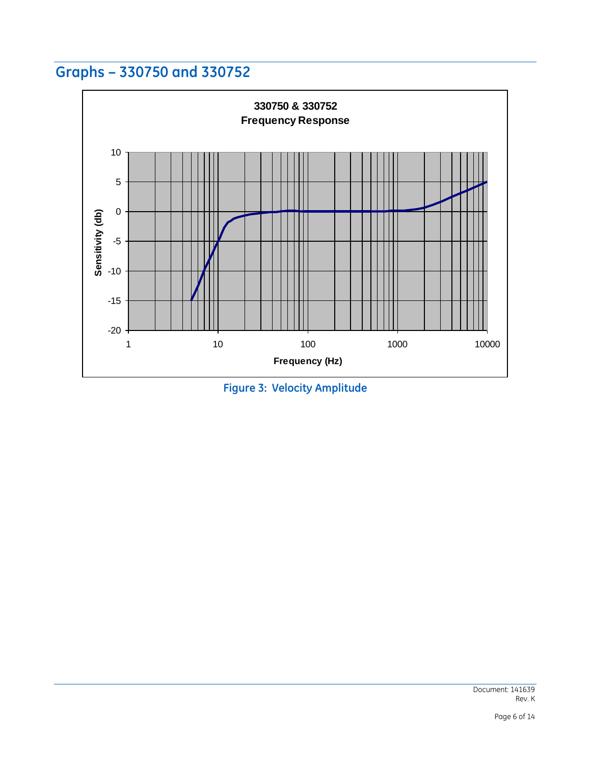### **Graphs – 330750 and 330752**



**Figure 3: Velocity Amplitude**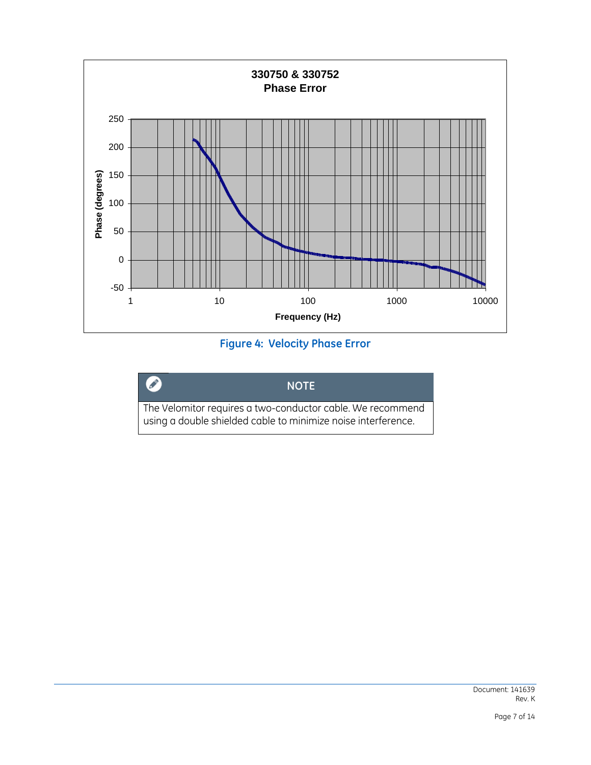

#### **Figure 4: Velocity Phase Error**

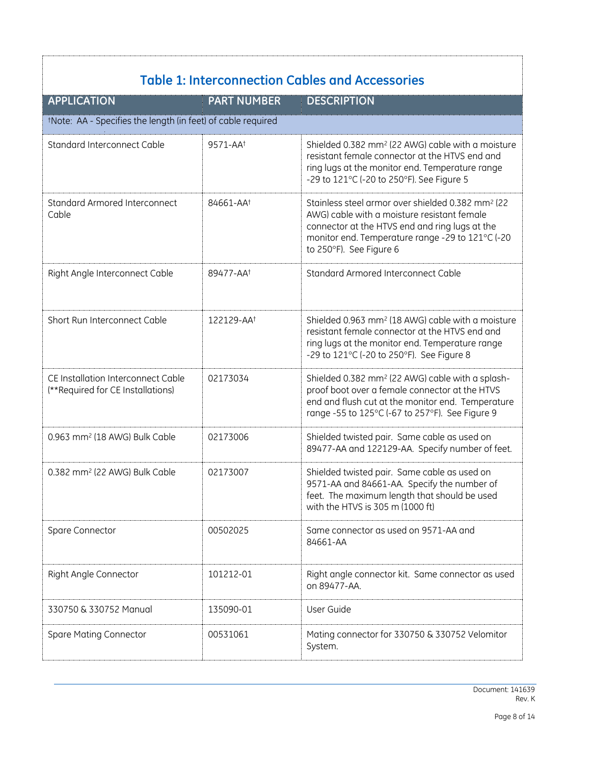| <b>APPLICATION</b>                                                      | <b>PART NUMBER</b>     | <b>DESCRIPTION</b>                                                                                                                                                                                                                             |  |  |
|-------------------------------------------------------------------------|------------------------|------------------------------------------------------------------------------------------------------------------------------------------------------------------------------------------------------------------------------------------------|--|--|
| tNote: AA - Specifies the length (in feet) of cable required            |                        |                                                                                                                                                                                                                                                |  |  |
| Standard Interconnect Cable                                             | 9571-AA <sup>+</sup>   | Shielded 0.382 mm <sup>2</sup> (22 AWG) cable with a moisture<br>resistant female connector at the HTVS end and<br>ring lugs at the monitor end. Temperature range<br>-29 to 121°C (-20 to 250°F). See Figure 5                                |  |  |
| <b>Standard Armored Interconnect</b><br>Cable                           | 84661-AA <sup>+</sup>  | Stainless steel armor over shielded 0.382 mm <sup>2</sup> (22)<br>AWG) cable with a moisture resistant female<br>connector at the HTVS end and ring lugs at the<br>monitor end. Temperature range -29 to 121°C (-20<br>to 250°F). See Figure 6 |  |  |
| Right Angle Interconnect Cable                                          | 89477-AA <sup>+</sup>  | Standard Armored Interconnect Cable                                                                                                                                                                                                            |  |  |
| Short Run Interconnect Cable                                            | 122129-AA <sup>+</sup> | Shielded 0.963 mm <sup>2</sup> (18 AWG) cable with a moisture<br>resistant female connector at the HTVS end and<br>ring lugs at the monitor end. Temperature range<br>-29 to 121°C (-20 to 250°F). See Figure 8                                |  |  |
| CE Installation Interconnect Cable<br>(**Required for CE Installations) | 02173034               | Shielded 0.382 mm <sup>2</sup> (22 AWG) cable with a splash-<br>proof boot over a female connector at the HTVS<br>end and flush cut at the monitor end. Temperature<br>range -55 to 125°C (-67 to 257°F). See Figure 9                         |  |  |
| 0.963 mm <sup>2</sup> (18 AWG) Bulk Cable                               | 02173006               | Shielded twisted pair. Same cable as used on<br>89477-AA and 122129-AA. Specify number of feet.                                                                                                                                                |  |  |
| 0.382 mm <sup>2</sup> (22 AWG) Bulk Cable                               | 02173007               | Shielded twisted pair. Same cable as used on<br>9571-AA and 84661-AA. Specify the number of<br>feet. The maximum length that should be used<br>with the HTVS is 305 m (1000 ft)                                                                |  |  |
| Spare Connector                                                         | 00502025               | Same connector as used on 9571-AA and<br>84661-AA                                                                                                                                                                                              |  |  |
| Right Angle Connector                                                   | 101212-01              | Right angle connector kit. Same connector as used<br>on 89477-AA.                                                                                                                                                                              |  |  |
| 330750 & 330752 Manual                                                  | 135090-01              | User Guide                                                                                                                                                                                                                                     |  |  |
| Spare Mating Connector                                                  | 00531061               | Mating connector for 330750 & 330752 Velomitor<br>System.                                                                                                                                                                                      |  |  |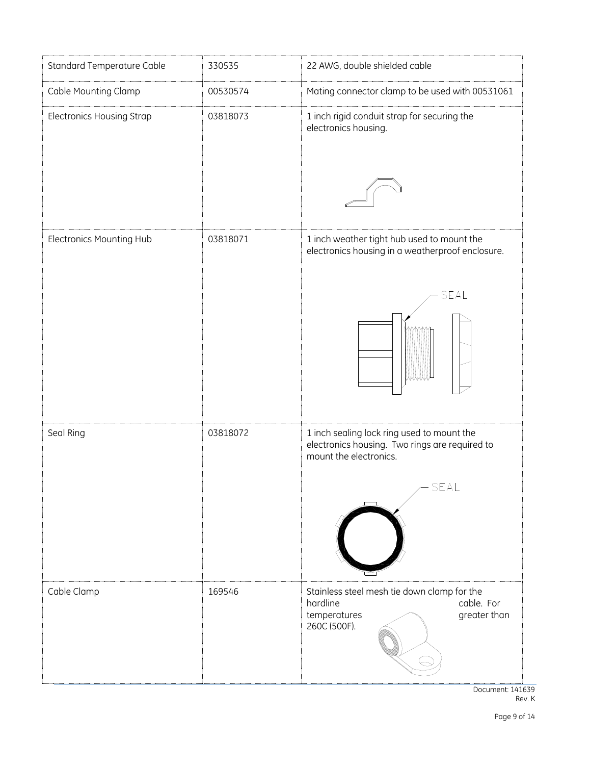

Document: 141639 Rev. K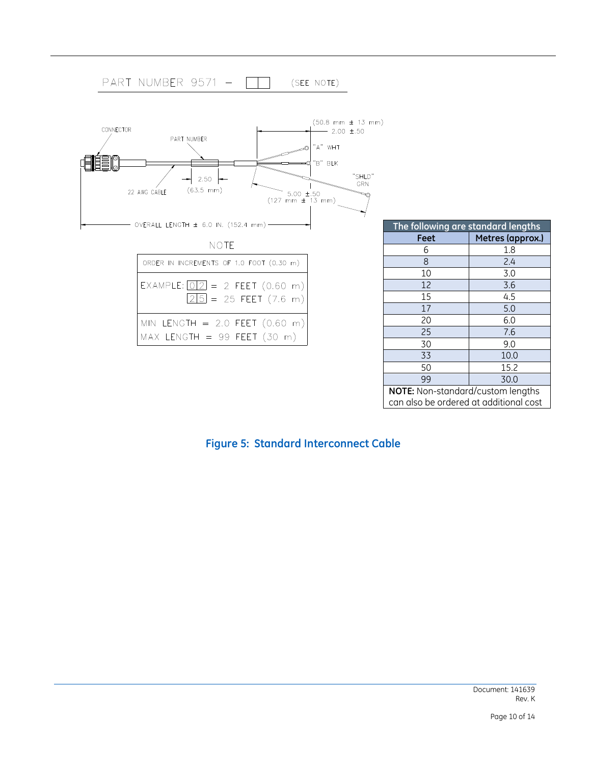

can also be ordered at additional cost

#### **Figure 5: Standard Interconnect Cable**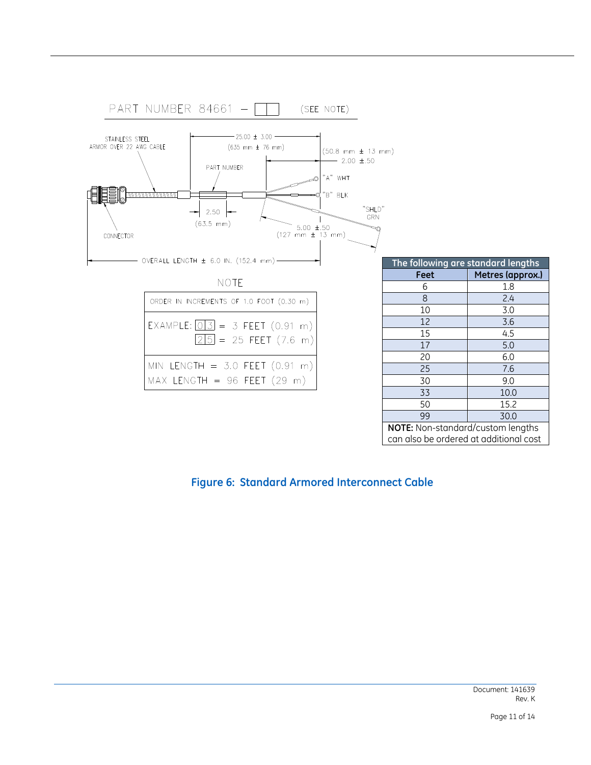

#### **Figure 6: Standard Armored Interconnect Cable**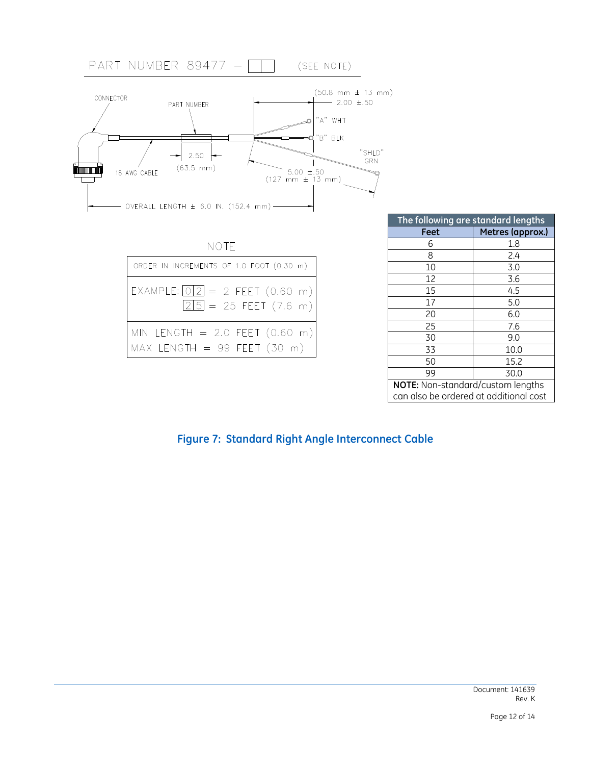

**NOTE:** Non-standard/custom lengths can also be ordered at additional cost

#### **Figure 7: Standard Right Angle Interconnect Cable**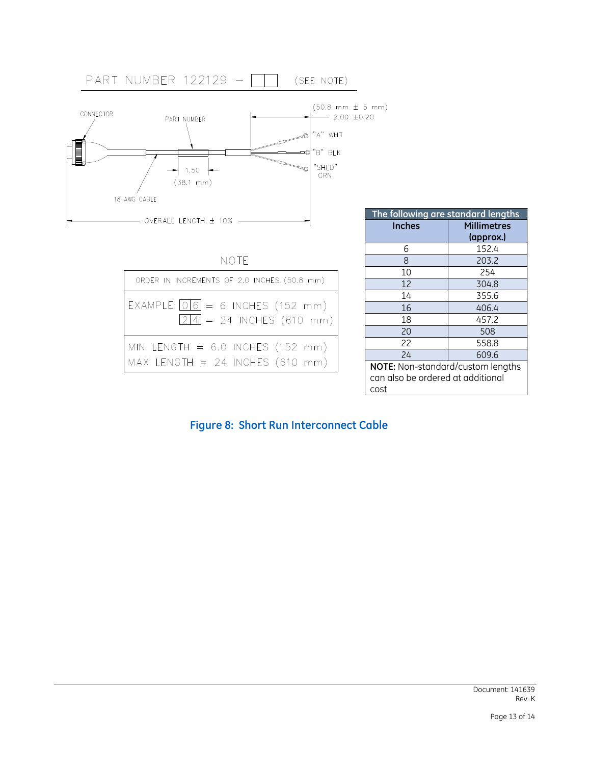

| The following are standard lengths |                    |  |
|------------------------------------|--------------------|--|
| <b>Inches</b>                      | <b>Millimetres</b> |  |
|                                    | (approx.)          |  |
| 6                                  | 152.4              |  |
| 8                                  | 203.2              |  |
| 10                                 | 254                |  |
| 12                                 | 304.8              |  |
| 14                                 | 355.6              |  |
| 16                                 | 406.4              |  |
| 18                                 | 457.2              |  |
| 20                                 | 508                |  |
| 22                                 | 558.8              |  |
| 74                                 | 609.6              |  |
| NOTE: Non-standard/custom lengths  |                    |  |
| can also be ordered at additional  |                    |  |
| rnst                               |                    |  |

#### **Figure 8: Short Run Interconnect Cable**